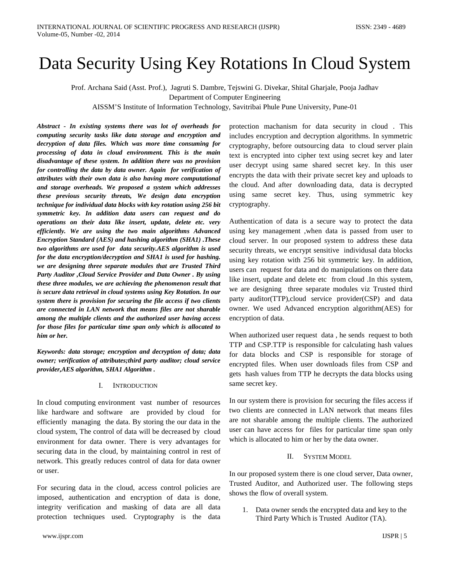# Data Security Using Key Rotations In Cloud System

Prof. Archana Said (Asst. Prof.), Jagruti S. Dambre, Tejswini G. Divekar, Shital Gharjale, Pooja Jadhav Department of Computer Engineering

AISSM'S Institute of Information Technology, Savitribai Phule Pune University, Pune-01

*Abstract - In existing systems there was lot of overheads for computing security tasks like data storage and encryption and decryption of data files. Which was more time consuming for processing of data in cloud environment. This is the main disadvantage of these system. In addition there was no provision for controlling the data by data owner. Again for verification of attributes with their own data is also having more computational and storage overheads. We proposed a system which addresses these previous security threats, We design data encryption technique for individual data blocks with key rotation using 256 bit symmetric key. In addition data users can request and do operations on their data like insert, update, delete etc. very efficiently. We are using the two main algorithms Advanced Encryption Standard (AES) and hashing algorithm (SHA1) .These two algorithms are used for data security.AES algorithm is used for the data encryption/decryption and SHA1 is used for hashing. we are designing three separate modules that are Trusted Third Party Auditor ,Cloud Service Provider and Data Owner . By using these three modules, we are achieving the phenomenon result that is secure data retrieval in cloud systems using Key Rotation. In our system there is provision for securing the file access if two clients are connected in LAN network that means files are not sharable among the multiple clients and the authorized user having access for those files for particular time span only which is allocated to him or her.*

*Keywords: data storage; encryption and decryption of data; data owner; verification of attributes;third party auditor; cloud service provider,AES algorithm, SHA1 Algorithm .*

#### I. INTRODUCTION

In cloud computing environment vast number of resources like hardware and software are provided by cloud for efficiently managing the data. By storing the our data in the cloud system, The control of data will be decreased by cloud environment for data owner. There is very advantages for securing data in the cloud, by maintaining control in rest of network. This greatly reduces control of data for data owner or user.

For securing data in the cloud, access control policies are imposed, authentication and encryption of data is done, integrity verification and masking of data are all data protection techniques used. Cryptography is the data protection machanism for data security in cloud . This includes encryption and decryption algorithms. In symmetric cryptography, before outsourcing data to cloud server plain text is encrypted into cipher text using secret key and later user decrypt using same shared secret key. In this user encrypts the data with their private secret key and uploads to the cloud. And after downloading data, data is decrypted using same secret key. Thus, using symmetric key cryptography.

Authentication of data is a secure way to protect the data using key management ,when data is passed from user to cloud server. In our proposed system to address these data security threats, we encrypt sensitive individusal data blocks using key rotation with 256 bit symmetric key. In addition, users can request for data and do manipulations on there data like insert, update and delete etc from cloud .In this system, we are designing three separate modules viz Trusted third party auditor(TTP),cloud service provider(CSP) and data owner. We used Advanced encryption algorithm(AES) for encryption of data.

When authorized user request data , he sends request to both TTP and CSP.TTP is responsible for calculating hash values for data blocks and CSP is responsible for storage of encrypted files. When user downloads files from CSP and gets hash values from TTP he decrypts the data blocks using same secret key.

In our system there is provision for securing the files access if two clients are connected in LAN network that means files are not sharable among the multiple clients. The authorized user can have access for files for particular time span only which is allocated to him or her by the data owner.

II. SYSTEM MODEL

In our proposed system there is one cloud server, Data owner, Trusted Auditor, and Authorized user. The following steps shows the flow of overall system.

1. Data owner sends the encrypted data and key to the Third Party Which is Trusted Auditor (TA).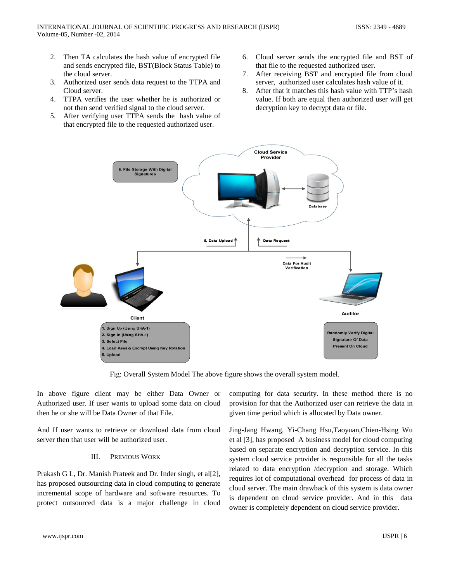- 2. Then TA calculates the hash value of encrypted file and sends encrypted file, BST(Block Status Table) to the cloud server.
- 3. Authorized user sends data request to the TTPA and Cloud server.
- 4. TTPA verifies the user whether he is authorized or not then send verified signal to the cloud server.
- 5. After verifying user TTPA sends the hash value of that encrypted file to the requested authorized user.
- 6. Cloud server sends the encrypted file and BST of that file to the requested authorized user.
- 7. After receiving BST and encrypted file from cloud server, authorized user calculates hash value of it.
- 8. After that it matches this hash value with TTP's hash value. If both are equal then authorized user will get decryption key to decrypt data or file.



Fig: Overall System Model The above figure shows the overall system model.

In above figure client may be either Data Owner or Authorized user. If user wants to upload some data on cloud then he or she will be Data Owner of that File.

And If user wants to retrieve or download data from cloud server then that user will be authorized user.

## III. PREVIOUS WORK

Prakash G L, Dr. Manish Prateek and Dr. Inder singh, et al[2], has proposed outsourcing data in cloud computing to generate incremental scope of hardware and software resources. To protect outsourced data is a major challenge in cloud

computing for data security. In these method there is no provision for that the Authorized user can retrieve the data in given time period which is allocated by Data owner.

Jing-Jang Hwang, Yi-Chang Hsu,Taoyuan,Chien-Hsing Wu et al [3], has proposed A business model for cloud computing based on separate encryption and decryption service. In this system cloud service provider is responsible for all the tasks related to data encryption /decryption and storage. Which requires lot of computational overhead for process of data in cloud server. The main drawback of this system is data owner is dependent on cloud service provider. And in this data owner is completely dependent on cloud service provider.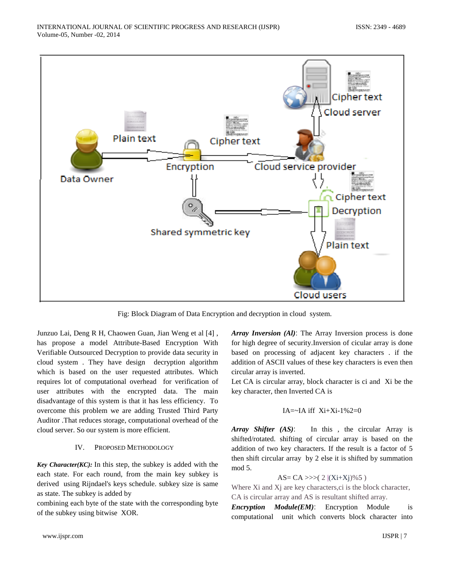

Fig: Block Diagram of Data Encryption and decryption in cloud system.

Junzuo Lai, Deng R H, Chaowen Guan, Jian Weng et al [4] , has propose a model Attribute-Based Encryption With Verifiable Outsourced Decryption to provide data security in cloud system . They have design decryption algorithm which is based on the user requested attributes. Which requires lot of computational overhead for verification of user attributes with the encrypted data. The main disadvantage of this system is that it has less efficiency. To overcome this problem we are adding Trusted Third Party Auditor .That reduces storage, computational overhead of the cloud server. So our system is more efficient.

## IV. PROPOSED METHODOLOGY

*Key Character(KC):* In this step, the subkey is added with the each state. For each round, from the main key subkey is derived using Rijndael's keys schedule. subkey size is same as state. The subkey is added by

combining each byte of the state with the corresponding byte of the subkey using bitwise XOR.

*Array Inversion (Al)*: The Array Inversion process is done for high degree of security.Inversion of cicular array is done based on processing of adjacent key characters . if the addition of ASCII values of these key characters is even then circular array is inverted.

Let CA is circular array, block character is ci and Xi be the key character, then Inverted CA is

## IA= $\sim$ IA iff Xi+Xi-1%2=0

*Array Shifter (AS)*: In this , the circular Array is shifted/rotated. shifting of circular array is based on the addition of two key characters. If the result is a factor of 5 then shift circular array by 2 else it is shifted by summation mod 5.

## AS= CA >>>( 2 |(Xi+Xj)%5 )

Where Xi and Xj are key characters, ci is the block character, CA is circular array and AS is resultant shifted array.

*Encryption Module(EM)*: Encryption Module is computational unit which converts block character into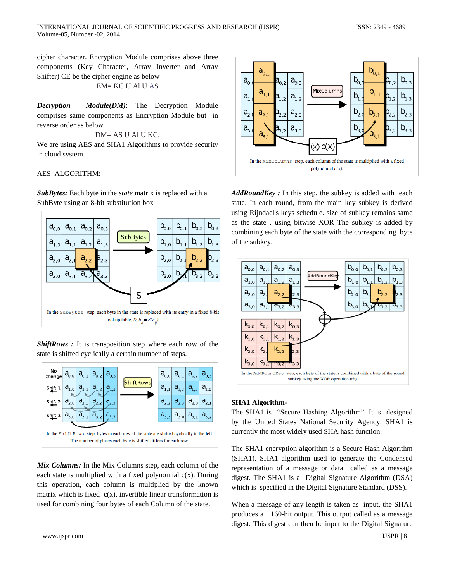cipher character. Encryption Module comprises above three components (Key Character, Array Inverter and Array Shifter) CE be the cipher engine as below

# EM= KC U Al U AS

*Decryption Module(DM)*: The Decryption Module comprises same components as Encryption Module but in reverse order as below

#### DM= AS U Al U KC.

We are using AES and SHA1 Algorithms to provide security in cloud system.

## AES ALGORITHM:

*SubBytes:* Each byte in the *state* matrix is replaced with a SubByte using an 8-bit substitution box



*ShiftRows*: It is transposition step where each row of the state is shifted cyclically a certain number of steps.



*Mix Columns:* In the Mix Columns step, each column of the each state is multiplied with a fixed polynomial  $c(x)$ . During this operation, each column is multiplied by the known matrix which is fixed  $c(x)$ , invertible linear transformation is used for combining four bytes of each Column of the state.



*AddRoundKey :* In this step, the subkey is added with each state. In each round, from the main key subkey is derived using Rijndael's keys schedule. size of subkey remains same as the state . using bitwise XOR The subkey is added by combining each byte of the state with the corresponding byte of the subkey.



#### **SHA1 Algorithm-**

The SHA1 is "Secure Hashing Algorithm". It is designed by the United States National Security Agency. SHA1 is currently the most widely used SHA hash function.

The SHA1 encryption algorithm is a Secure Hash Algorithm (SHA1). SHA1 algorithm used to generate the Condensed representation of a message or data called as a message digest. The SHA1 is a Digital Signature Algorithm (DSA) which is specified in the Digital Signature Standard (DSS).

When a message of any length is taken as input, the SHA1 produces a 160-bit output. This output called as a message digest. This digest can then be input to the Digital Signature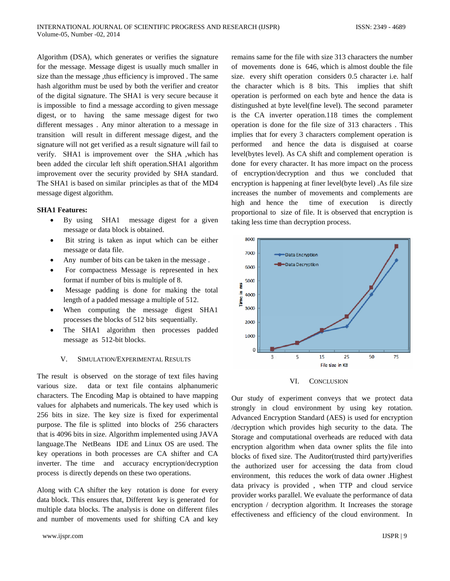Algorithm (DSA), which generates or verifies the signature for the message. Message digest is usually much smaller in size than the message , thus efficiency is improved . The same hash algorithm must be used by both the verifier and creator of the digital signature. The SHA1 is very secure because it is impossible to find a message according to given message digest, or to having the same message digest for two different messages . Any minor alteration to a message in transition will result in different message digest, and the signature will not get verified as a result signature will fail to verify. SHA1 is improvement over the SHA ,which has been added the circular left shift operation.SHA1 algorithm improvement over the security provided by SHA standard. The SHA1 is based on similar principles as that of the MD4 message digest algorithm.

## **SHA1 Features:**

- By using SHA1 message digest for a given message or data block is obtained.
- Bit string is taken as input which can be either message or data file.
- Any number of bits can be taken in the message .
- For compactness Message is represented in hex format if number of bits is multiple of 8.
- Message padding is done for making the total length of a padded message a multiple of 512.
- When computing the message digest SHA1 processes the blocks of 512 bits sequentially.
- The SHA1 algorithm then processes padded message as 512-bit blocks.

## V. SIMULATION/EXPERIMENTAL RESULTS

The result is observed on the storage of text files having various size. data or text file contains alphanumeric characters. The Encoding Map is obtained to have mapping values for alphabets and numericals. The key used which is 256 bits in size. The key size is fixed for experimental purpose. The file is splitted into blocks of 256 characters that is 4096 bits in size. Algorithm implemented using JAVA language.The NetBeans IDE and Linux OS are used. The key operations in both processes are CA shifter and CA inverter. The time and accuracy encryption/decryption process is directly depends on these two operations.

Along with CA shifter the key rotation is done for every data block. This ensures that, Different key is generated for multiple data blocks. The analysis is done on different files and number of movements used for shifting CA and key

www.ijspr.com IJSPR | 9

remains same for the file with size 313 characters the number of movements done is 646, which is almost double the file size. every shift operation considers 0.5 character i.e. half the character which is 8 bits. This implies that shift operation is performed on each byte and hence the data is distingushed at byte level(fine level). The second parameter is the CA inverter operation.118 times the complement operation is done for the file size of 313 characters . This implies that for every 3 characters complement operation is performed and hence the data is disguised at coarse level(bytes level). As CA shift and complement operation is done for every character. It has more impact on the process of encryption/decryption and thus we concluded that encryption is happening at finer level(byte level) .As file size increases the number of movements and complements are high and hence the time of execution is directly proportional to size of file. It is observed that encryption is taking less time than decryption process.



VI. CONCLUSION

Our study of experiment conveys that we protect data strongly in cloud environment by using key rotation. Advanced Encryption Standard (AES) is used for encryption /decryption which provides high security to the data. The Storage and computational overheads are reduced with data encryption algorithm when data owner splits the file into blocks of fixed size. The Auditor(trusted third party)verifies the authorized user for accessing the data from cloud environment, this reduces the work of data owner .Highest data privacy is provided , when TTP and cloud service provider works parallel. We evaluate the performance of data encryption / decryption algorithm. It Increases the storage effectiveness and efficiency of the cloud environment. In